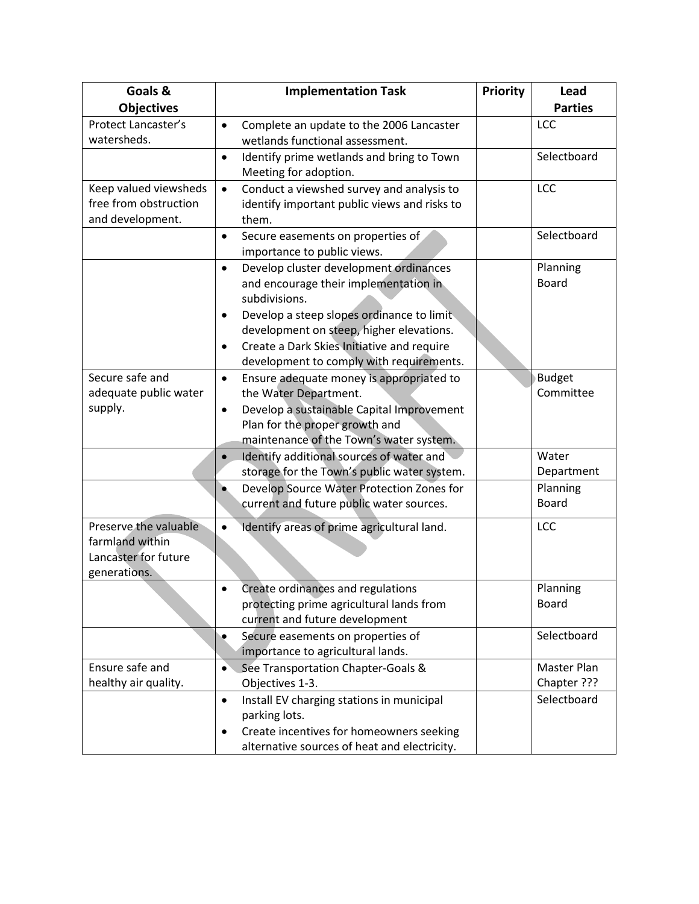| Goals &<br><b>Objectives</b> | <b>Implementation Task</b>                                                            | Priority | Lead<br><b>Parties</b>   |
|------------------------------|---------------------------------------------------------------------------------------|----------|--------------------------|
| Protect Lancaster's          | $\bullet$                                                                             |          | LCC                      |
| watersheds.                  | Complete an update to the 2006 Lancaster<br>wetlands functional assessment.           |          |                          |
|                              | Identify prime wetlands and bring to Town<br>$\bullet$                                |          | Selectboard              |
|                              | Meeting for adoption.                                                                 |          |                          |
| Keep valued viewsheds        | Conduct a viewshed survey and analysis to<br>$\bullet$                                |          | LCC                      |
| free from obstruction        | identify important public views and risks to                                          |          |                          |
| and development.             | them.                                                                                 |          |                          |
|                              | Secure easements on properties of<br>$\bullet$                                        |          | Selectboard              |
|                              | importance to public views.                                                           |          |                          |
|                              | Develop cluster development ordinances<br>$\bullet$                                   |          | Planning                 |
|                              | and encourage their implementation in                                                 |          | <b>Board</b>             |
|                              | subdivisions.                                                                         |          |                          |
|                              | Develop a steep slopes ordinance to limit<br>$\bullet$                                |          |                          |
|                              | development on steep, higher elevations.                                              |          |                          |
|                              | Create a Dark Skies Initiative and require<br>$\bullet$                               |          |                          |
|                              | development to comply with requirements.                                              |          |                          |
| Secure safe and              | Ensure adequate money is appropriated to<br>$\bullet$                                 |          | <b>Budget</b>            |
| adequate public water        | the Water Department.                                                                 |          | Committee                |
| supply.                      | Develop a sustainable Capital Improvement<br>$\bullet$                                |          |                          |
|                              | Plan for the proper growth and                                                        |          |                          |
|                              | maintenance of the Town's water system.                                               |          | Water                    |
|                              | Identify additional sources of water and                                              |          |                          |
|                              | storage for the Town's public water system.                                           |          | Department<br>Planning   |
|                              | Develop Source Water Protection Zones for<br>current and future public water sources. |          | <b>Board</b>             |
|                              |                                                                                       |          |                          |
| Preserve the valuable        | Identify areas of prime agricultural land.<br>$\bullet$                               |          | LCC                      |
| farmland within              |                                                                                       |          |                          |
| Lancaster for future         |                                                                                       |          |                          |
| generations.                 |                                                                                       |          |                          |
|                              | Create ordinances and regulations                                                     |          | Planning<br><b>Board</b> |
|                              | protecting prime agricultural lands from<br>current and future development            |          |                          |
|                              | Secure easements on properties of                                                     |          | Selectboard              |
|                              | importance to agricultural lands.                                                     |          |                          |
| Ensure safe and              | See Transportation Chapter-Goals &<br>$\bullet$                                       |          | Master Plan              |
| healthy air quality.         | Objectives 1-3.                                                                       |          | Chapter ???              |
|                              | Install EV charging stations in municipal<br>$\bullet$                                |          | Selectboard              |
|                              | parking lots.                                                                         |          |                          |
|                              | Create incentives for homeowners seeking                                              |          |                          |
|                              | alternative sources of heat and electricity.                                          |          |                          |